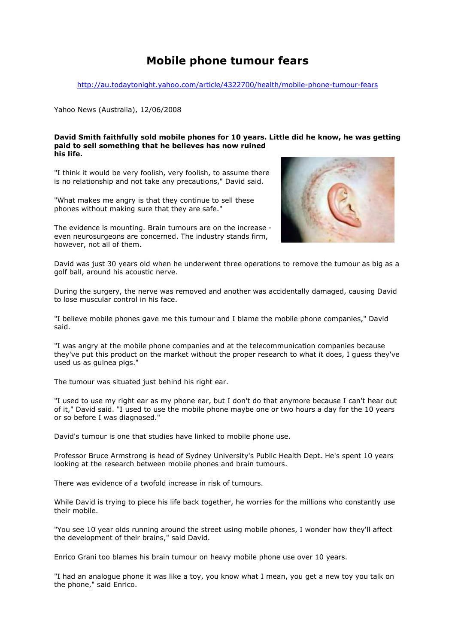## Mobile phone tumour fears

http://au.todaytonight.yahoo.com/article/4322700/health/mobile-phone-tumour-fears

Yahoo News (Australia), 12/06/2008

## David Smith faithfully sold mobile phones for 10 years. Little did he know, he was getting paid to sell something that he believes has now ruined his life.

"I think it would be very foolish, very foolish, to assume there is no relationship and not take any precautions," David said.

"What makes me angry is that they continue to sell these phones without making sure that they are safe."

The evidence is mounting. Brain tumours are on the increase even neurosurgeons are concerned. The industry stands firm, however, not all of them.



David was just 30 years old when he underwent three operations to remove the tumour as big as a golf ball, around his acoustic nerve.

During the surgery, the nerve was removed and another was accidentally damaged, causing David to lose muscular control in his face.

"I believe mobile phones gave me this tumour and I blame the mobile phone companies," David said.

"I was angry at the mobile phone companies and at the telecommunication companies because they've put this product on the market without the proper research to what it does, I guess they've used us as guinea pigs."

The tumour was situated just behind his right ear.

"I used to use my right ear as my phone ear, but I don't do that anymore because I can't hear out of it," David said. "I used to use the mobile phone maybe one or two hours a day for the 10 years or so before I was diagnosed."

David's tumour is one that studies have linked to mobile phone use.

Professor Bruce Armstrong is head of Sydney University's Public Health Dept. He's spent 10 years looking at the research between mobile phones and brain tumours.

There was evidence of a twofold increase in risk of tumours.

While David is trying to piece his life back together, he worries for the millions who constantly use their mobile.

"You see 10 year olds running around the street using mobile phones, I wonder how they'll affect the development of their brains," said David.

Enrico Grani too blames his brain tumour on heavy mobile phone use over 10 years.

"I had an analogue phone it was like a toy, you know what I mean, you get a new toy you talk on the phone," said Enrico.